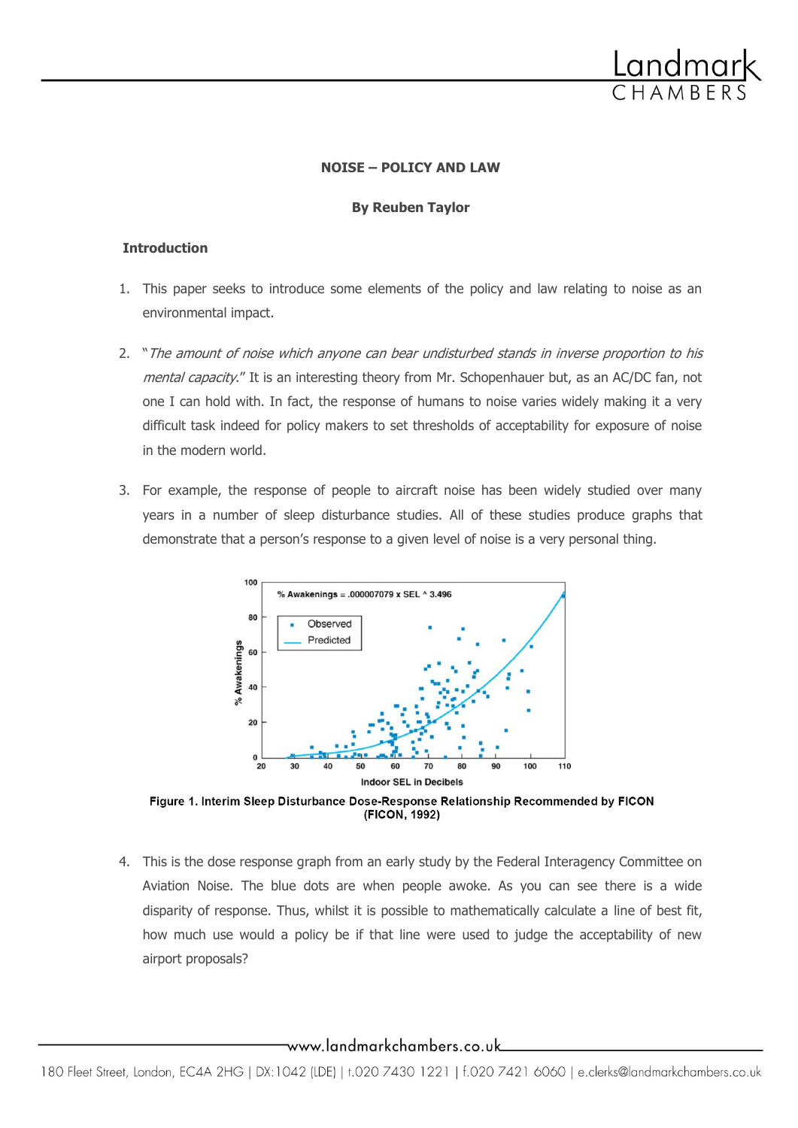

## **NOISE – POLICY AND LAW**

## **By Reuben Taylor**

## **Introduction**

- 1. This paper seeks to introduce some elements of the policy and law relating to noise as an environmental impact.
- 2. "The amount of noise which anyone can bear undisturbed stands in inverse proportion to his mental capacity." It is an interesting theory from Mr. Schopenhauer but, as an AC/DC fan, not one I can hold with. In fact, the response of humans to noise varies widely making it a very difficult task indeed for policy makers to set thresholds of acceptability for exposure of noise in the modern world.
- 3. For example, the response of people to aircraft noise has been widely studied over many years in a number of sleep disturbance studies. All of these studies produce graphs that demonstrate that a person's response to a given level of noise is a very personal thing.



Figure 1. Interim Sleep Disturbance Dose-Response Relationship Recommended by FICON (FICON, 1992)

4. This is the dose response graph from an early study by the Federal Interagency Committee on Aviation Noise. The blue dots are when people awoke. As you can see there is a wide disparity of response. Thus, whilst it is possible to mathematically calculate a line of best fit, how much use would a policy be if that line were used to judge the acceptability of new airport proposals?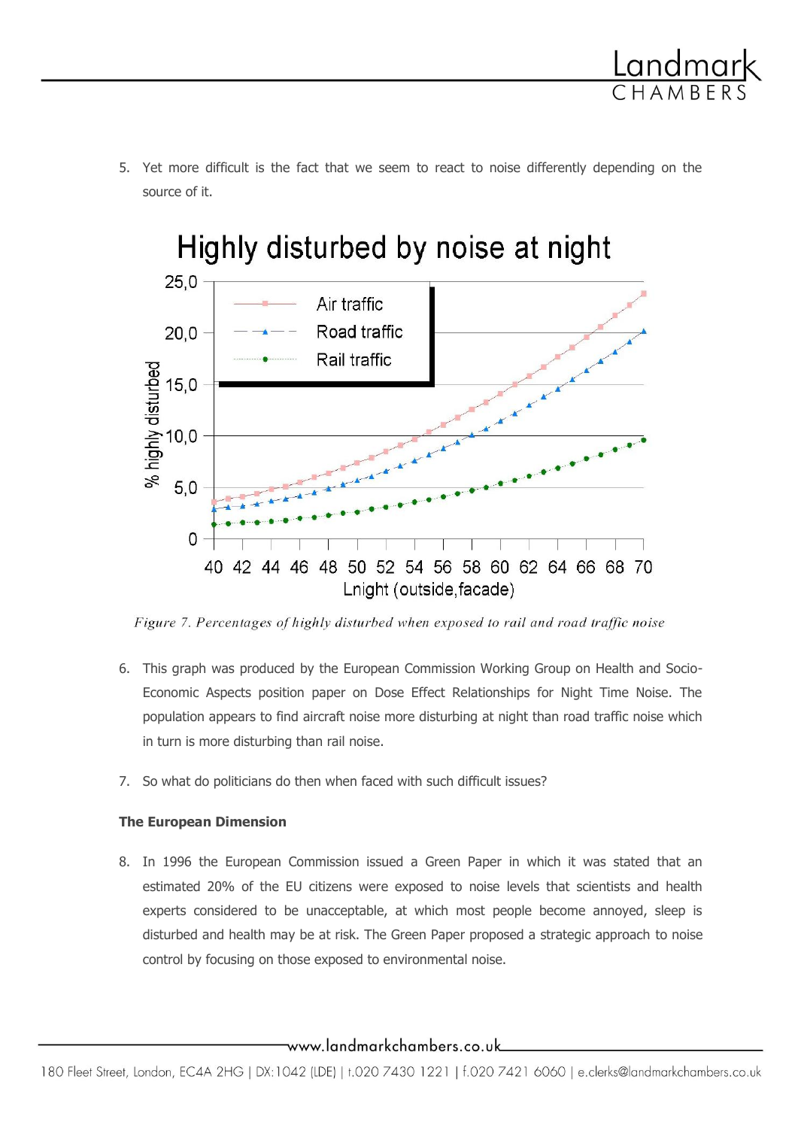

5. Yet more difficult is the fact that we seem to react to noise differently depending on the source of it.

# Highly disturbed by noise at night  $25,0$ Air traffic Road traffic  $20.0$ Rail traffic % highly disturbed<br>  $\frac{3}{2}$  15, 0<br>  $\frac{3}{2}$  5.0  $5.0$  $\Omega$ 40 42 44 46 48 50 52 54 56 58 60 62 64 66 68 70 Lnight (outside, facade)

Figure 7. Percentages of highly disturbed when exposed to rail and road traffic noise

- 6. This graph was produced by the European Commission Working Group on Health and Socio-Economic Aspects position paper on Dose Effect Relationships for Night Time Noise. The population appears to find aircraft noise more disturbing at night than road traffic noise which in turn is more disturbing than rail noise.
- 7. So what do politicians do then when faced with such difficult issues?

# **The European Dimension**

8. In 1996 the European Commission issued a Green Paper in which it was stated that an estimated 20% of the EU citizens were exposed to noise levels that scientists and health experts considered to be unacceptable, at which most people become annoyed, sleep is disturbed and health may be at risk. The Green Paper proposed a strategic approach to noise control by focusing on those exposed to environmental noise.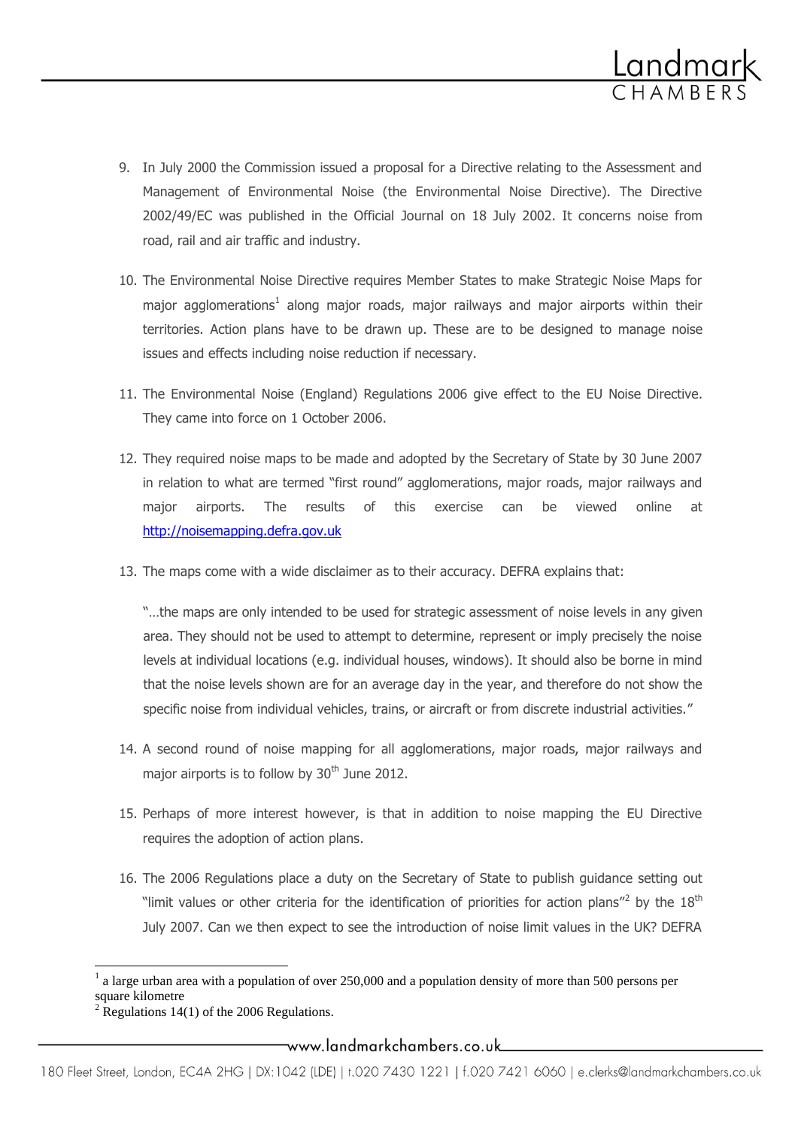

- 9. In July 2000 the Commission issued a proposal for a Directive relating to the Assessment and Management of Environmental Noise (the Environmental Noise Directive). The Directive 2002/49/EC was published in the Official Journal on 18 July 2002. It concerns noise from road, rail and air traffic and industry.
- 10. The Environmental Noise Directive requires Member States to make Strategic Noise Maps for major agglomerations<sup>1</sup> along major roads, major railways and major airports within their territories. Action plans have to be drawn up. These are to be designed to manage noise issues and effects including noise reduction if necessary.
- 11. The Environmental Noise (England) Regulations 2006 give effect to the EU Noise Directive. They came into force on 1 October 2006.
- 12. They required noise maps to be made and adopted by the Secretary of State by 30 June 2007 in relation to what are termed "first round" agglomerations, major roads, major railways and major airports. The results of this exercise can be viewed online at [http://noisemapping.defra.gov.uk](http://noisemapping.defra.gov.uk/)
- 13. The maps come with a wide disclaimer as to their accuracy. DEFRA explains that:

"…the maps are only intended to be used for strategic assessment of noise levels in any given area. They should not be used to attempt to determine, represent or imply precisely the noise levels at individual locations (e.g. individual houses, windows). It should also be borne in mind that the noise levels shown are for an average day in the year, and therefore do not show the specific noise from individual vehicles, trains, or aircraft or from discrete industrial activities."

- 14. A second round of noise mapping for all agglomerations, major roads, major railways and major airports is to follow by  $30<sup>th</sup>$  June 2012.
- 15. Perhaps of more interest however, is that in addition to noise mapping the EU Directive requires the adoption of action plans.
- 16. The 2006 Regulations place a duty on the Secretary of State to publish guidance setting out "limit values or other criteria for the identification of priorities for action plans"<sup>2</sup> by the 18<sup>th</sup> July 2007. Can we then expect to see the introduction of noise limit values in the UK? DEFRA

 $\overline{\phantom{a}}$ 

 $<sup>1</sup>$  a large urban area with a population of over 250,000 and a population density of more than 500 persons per</sup> square kilometre

 $2 \text{ Regulations}$  14(1) of the 2006 Regulations.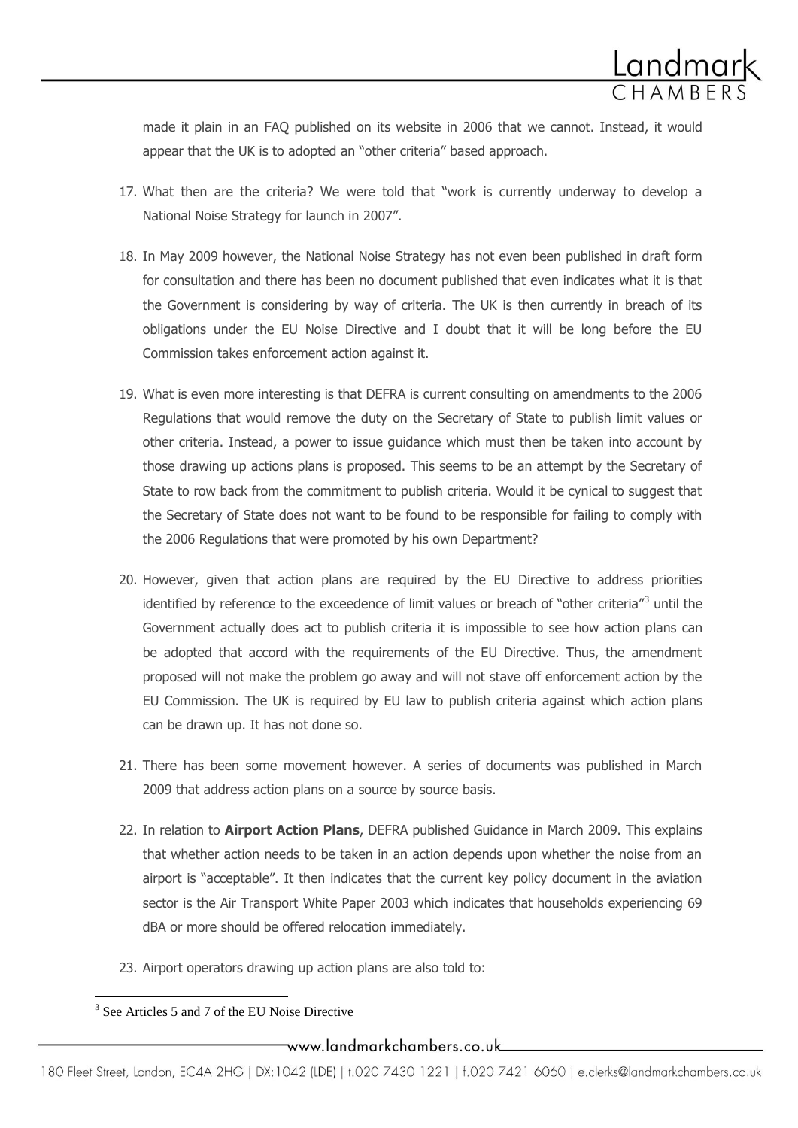

made it plain in an FAQ published on its website in 2006 that we cannot. Instead, it would appear that the UK is to adopted an "other criteria" based approach.

- 17. What then are the criteria? We were told that "work is currently underway to develop a National Noise Strategy for launch in 2007".
- 18. In May 2009 however, the National Noise Strategy has not even been published in draft form for consultation and there has been no document published that even indicates what it is that the Government is considering by way of criteria. The UK is then currently in breach of its obligations under the EU Noise Directive and I doubt that it will be long before the EU Commission takes enforcement action against it.
- 19. What is even more interesting is that DEFRA is current consulting on amendments to the 2006 Regulations that would remove the duty on the Secretary of State to publish limit values or other criteria. Instead, a power to issue guidance which must then be taken into account by those drawing up actions plans is proposed. This seems to be an attempt by the Secretary of State to row back from the commitment to publish criteria. Would it be cynical to suggest that the Secretary of State does not want to be found to be responsible for failing to comply with the 2006 Regulations that were promoted by his own Department?
- 20. However, given that action plans are required by the EU Directive to address priorities identified by reference to the exceedence of limit values or breach of "other criteria"<sup>3</sup> until the Government actually does act to publish criteria it is impossible to see how action plans can be adopted that accord with the requirements of the EU Directive. Thus, the amendment proposed will not make the problem go away and will not stave off enforcement action by the EU Commission. The UK is required by EU law to publish criteria against which action plans can be drawn up. It has not done so.
- 21. There has been some movement however. A series of documents was published in March 2009 that address action plans on a source by source basis.
- 22. In relation to **Airport Action Plans**, DEFRA published Guidance in March 2009. This explains that whether action needs to be taken in an action depends upon whether the noise from an airport is "acceptable". It then indicates that the current key policy document in the aviation sector is the Air Transport White Paper 2003 which indicates that households experiencing 69 dBA or more should be offered relocation immediately.
- 23. Airport operators drawing up action plans are also told to:

<sup>&</sup>lt;sup>3</sup> See Articles 5 and 7 of the EU Noise Directive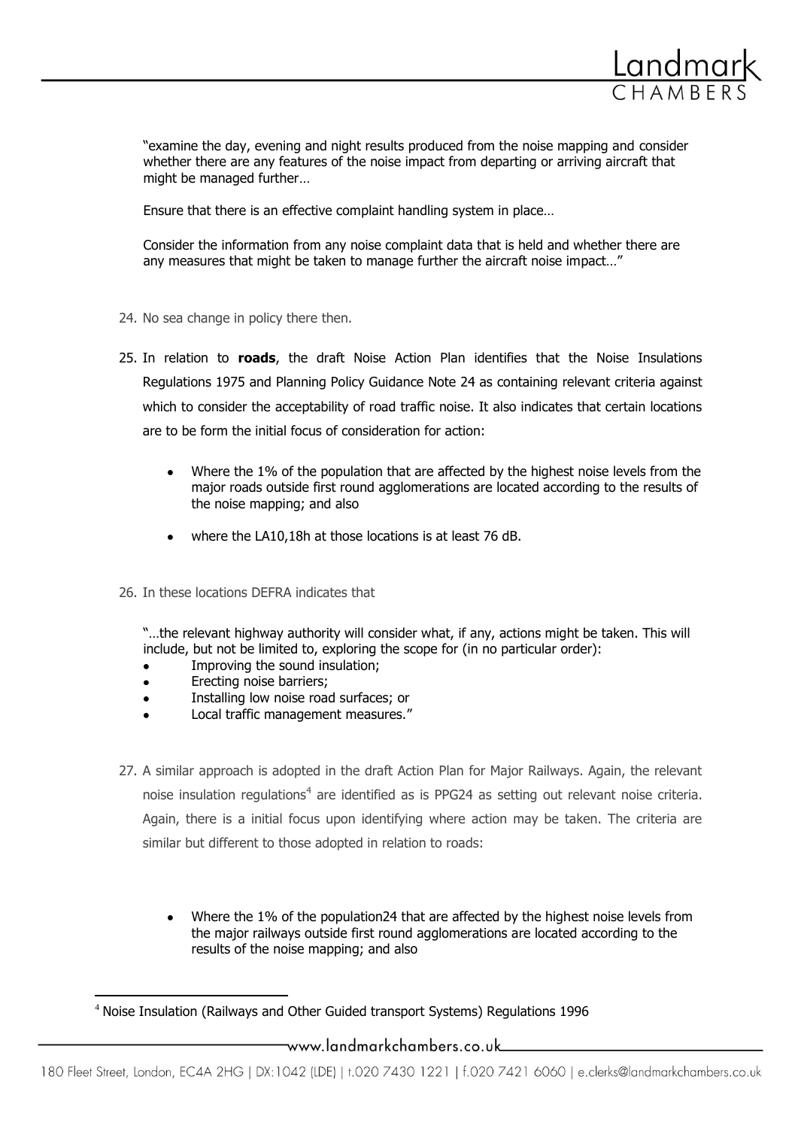

"examine the day, evening and night results produced from the noise mapping and consider whether there are any features of the noise impact from departing or arriving aircraft that might be managed further…

Ensure that there is an effective complaint handling system in place…

Consider the information from any noise complaint data that is held and whether there are any measures that might be taken to manage further the aircraft noise impact…"

- 24. No sea change in policy there then.
- 25. In relation to **roads**, the draft Noise Action Plan identifies that the Noise Insulations Regulations 1975 and Planning Policy Guidance Note 24 as containing relevant criteria against which to consider the acceptability of road traffic noise. It also indicates that certain locations are to be form the initial focus of consideration for action:
	- Where the 1% of the population that are affected by the highest noise levels from the  $\bullet$ major roads outside first round agglomerations are located according to the results of the noise mapping; and also
	- where the LA10,18h at those locations is at least 76 dB.
- 26. In these locations DEFRA indicates that

"…the relevant highway authority will consider what, if any, actions might be taken. This will include, but not be limited to, exploring the scope for (in no particular order):

- $\bullet$ Improving the sound insulation;
- Erecting noise barriers;  $\bullet$
- Installing low noise road surfaces; or  $\bullet$
- Local traffic management measures."
- 27. A similar approach is adopted in the draft Action Plan for Major Railways. Again, the relevant noise insulation regulations<sup>4</sup> are identified as is PPG24 as setting out relevant noise criteria. Again, there is a initial focus upon identifying where action may be taken. The criteria are similar but different to those adopted in relation to roads:
	- Where the 1% of the population24 that are affected by the highest noise levels from the major railways outside first round agglomerations are located according to the results of the noise mapping; and also

 $\overline{a}$ <sup>4</sup> Noise Insulation (Railways and Other Guided transport Systems) Regulations 1996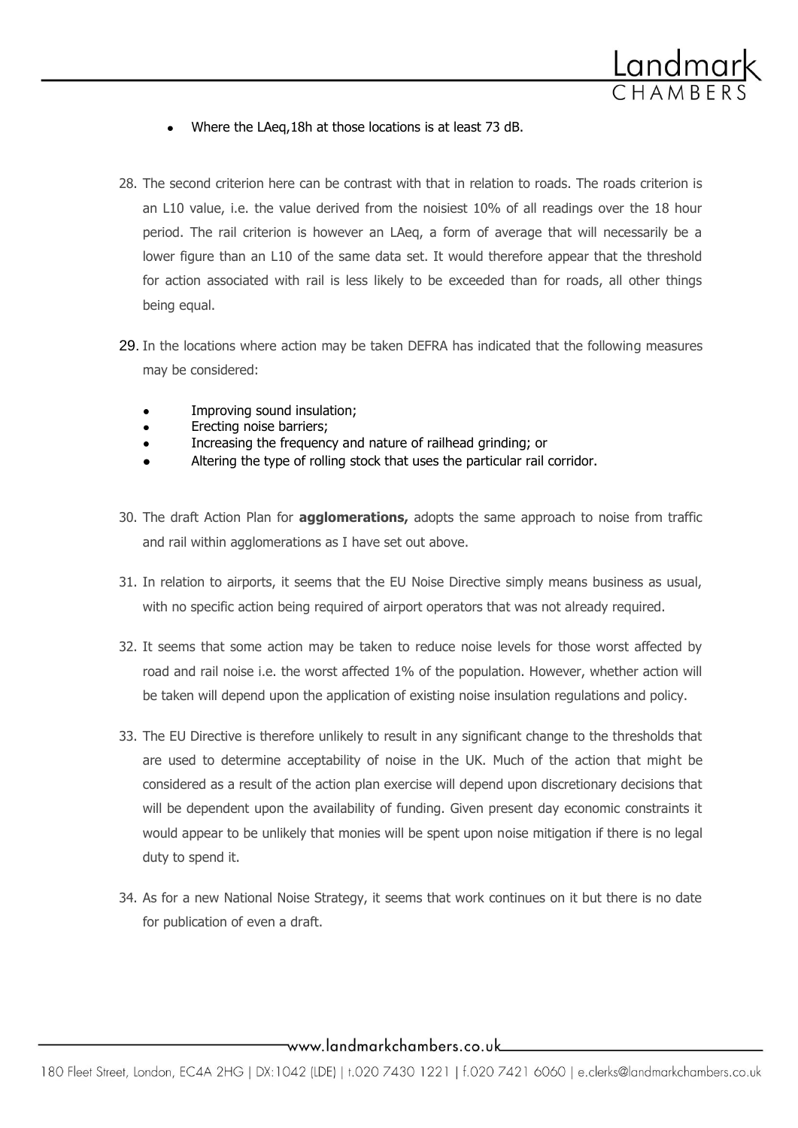

- Where the LAeq,18h at those locations is at least 73 dB.
- 28. The second criterion here can be contrast with that in relation to roads. The roads criterion is an L10 value, i.e. the value derived from the noisiest 10% of all readings over the 18 hour period. The rail criterion is however an LAeq, a form of average that will necessarily be a lower figure than an L10 of the same data set. It would therefore appear that the threshold for action associated with rail is less likely to be exceeded than for roads, all other things being equal.
- 29. In the locations where action may be taken DEFRA has indicated that the following measures may be considered:
	- Improving sound insulation;
	- Erecting noise barriers;  $\bullet$
	- Increasing the frequency and nature of railhead grinding; or
	- Altering the type of rolling stock that uses the particular rail corridor.  $\bullet$
- 30. The draft Action Plan for **agglomerations,** adopts the same approach to noise from traffic and rail within agglomerations as I have set out above.
- 31. In relation to airports, it seems that the EU Noise Directive simply means business as usual, with no specific action being required of airport operators that was not already required.
- 32. It seems that some action may be taken to reduce noise levels for those worst affected by road and rail noise i.e. the worst affected 1% of the population. However, whether action will be taken will depend upon the application of existing noise insulation regulations and policy.
- 33. The EU Directive is therefore unlikely to result in any significant change to the thresholds that are used to determine acceptability of noise in the UK. Much of the action that might be considered as a result of the action plan exercise will depend upon discretionary decisions that will be dependent upon the availability of funding. Given present day economic constraints it would appear to be unlikely that monies will be spent upon noise mitigation if there is no legal duty to spend it.
- 34. As for a new National Noise Strategy, it seems that work continues on it but there is no date for publication of even a draft.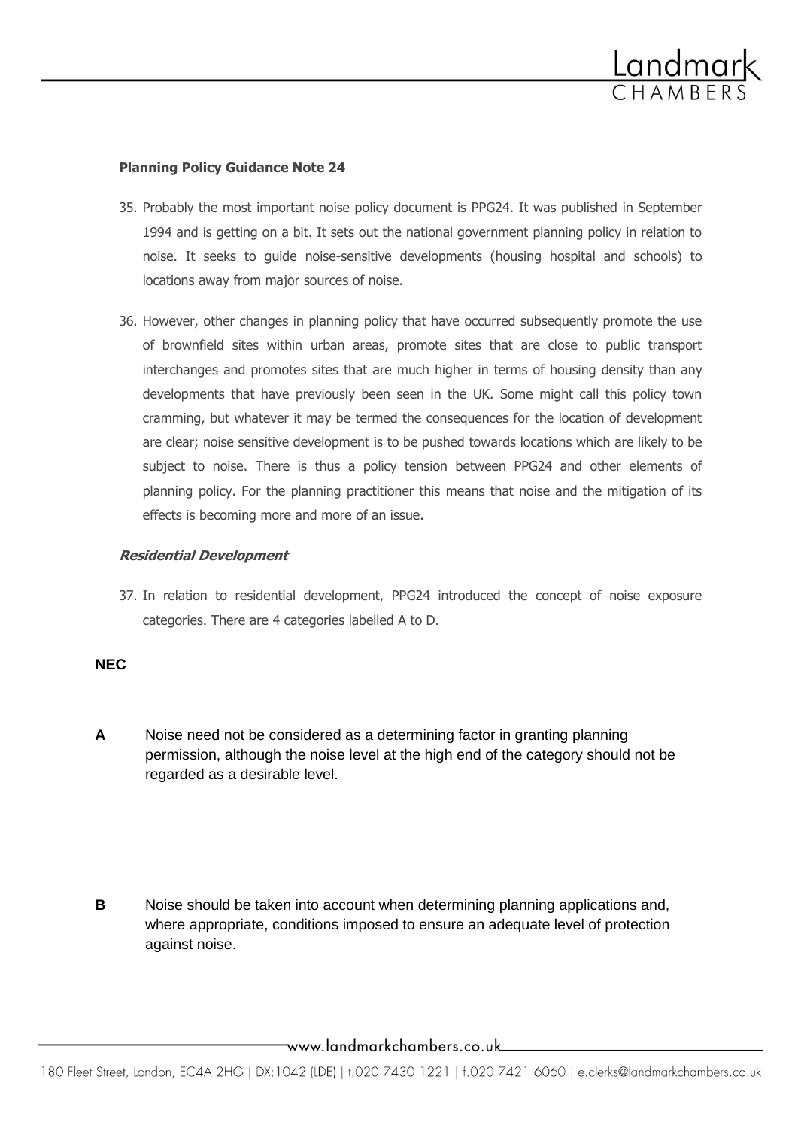

## **Planning Policy Guidance Note 24**

- 35. Probably the most important noise policy document is PPG24. It was published in September 1994 and is getting on a bit. It sets out the national government planning policy in relation to noise. It seeks to guide noise-sensitive developments (housing hospital and schools) to locations away from major sources of noise.
- 36. However, other changes in planning policy that have occurred subsequently promote the use of brownfield sites within urban areas, promote sites that are close to public transport interchanges and promotes sites that are much higher in terms of housing density than any developments that have previously been seen in the UK. Some might call this policy town cramming, but whatever it may be termed the consequences for the location of development are clear; noise sensitive development is to be pushed towards locations which are likely to be subject to noise. There is thus a policy tension between PPG24 and other elements of planning policy. For the planning practitioner this means that noise and the mitigation of its effects is becoming more and more of an issue.

## **Residential Development**

37. In relation to residential development, PPG24 introduced the concept of noise exposure categories. There are 4 categories labelled A to D.

## **NEC**

- **A** Noise need not be considered as a determining factor in granting planning permission, although the noise level at the high end of the category should not be regarded as a desirable level.
- **B** Noise should be taken into account when determining planning applications and, where appropriate, conditions imposed to ensure an adequate level of protection against noise.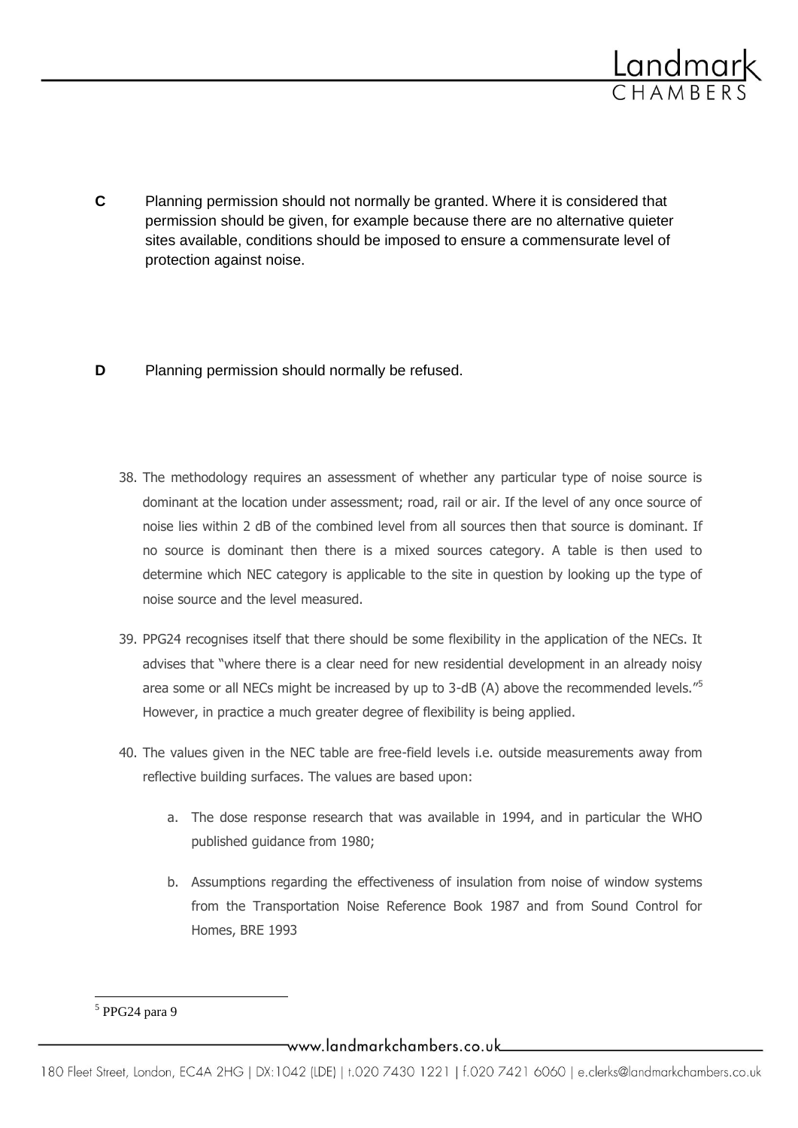

**C** Planning permission should not normally be granted. Where it is considered that permission should be given, for example because there are no alternative quieter sites available, conditions should be imposed to ensure a commensurate level of protection against noise.

# **D** Planning permission should normally be refused.

- 38. The methodology requires an assessment of whether any particular type of noise source is dominant at the location under assessment; road, rail or air. If the level of any once source of noise lies within 2 dB of the combined level from all sources then that source is dominant. If no source is dominant then there is a mixed sources category. A table is then used to determine which NEC category is applicable to the site in question by looking up the type of noise source and the level measured.
- 39. PPG24 recognises itself that there should be some flexibility in the application of the NECs. It advises that "where there is a clear need for new residential development in an already noisy area some or all NECs might be increased by up to 3-dB (A) above the recommended levels."<sup>5</sup> However, in practice a much greater degree of flexibility is being applied.
- 40. The values given in the NEC table are free-field levels i.e. outside measurements away from reflective building surfaces. The values are based upon:
	- a. The dose response research that was available in 1994, and in particular the WHO published guidance from 1980;
	- b. Assumptions regarding the effectiveness of insulation from noise of window systems from the Transportation Noise Reference Book 1987 and from Sound Control for Homes, BRE 1993

 5 PPG24 para 9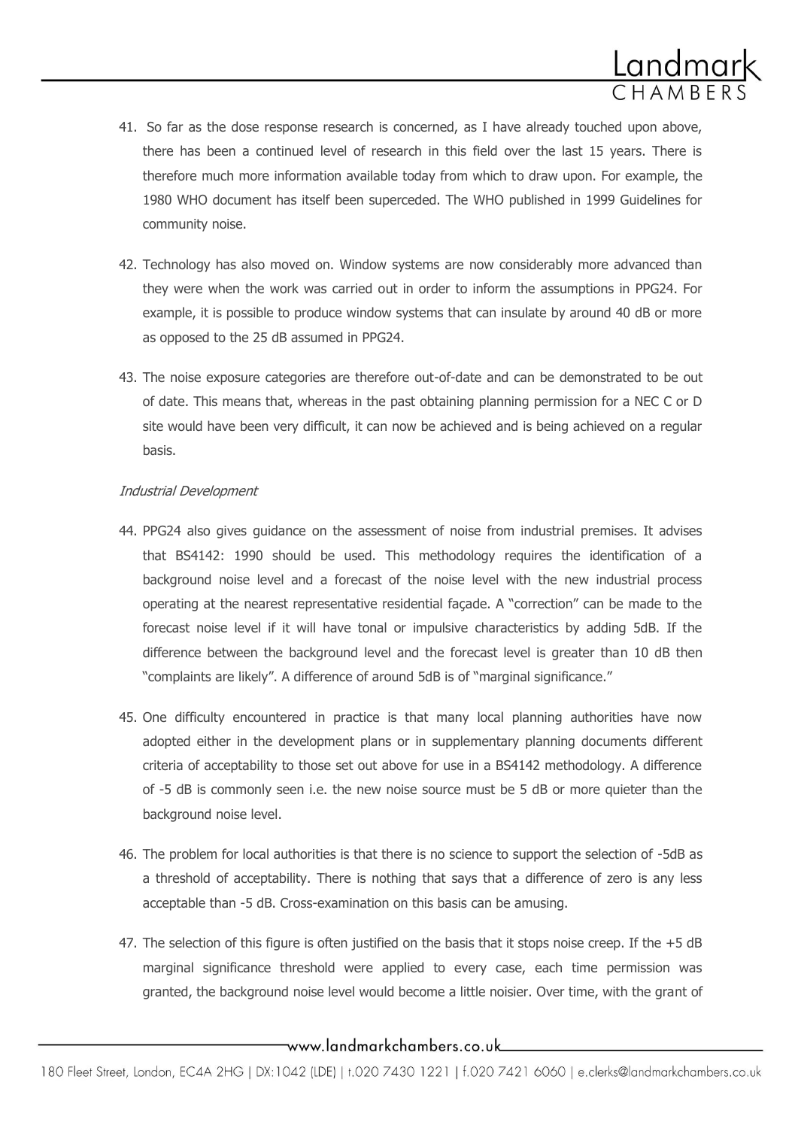

- 41. So far as the dose response research is concerned, as I have already touched upon above, there has been a continued level of research in this field over the last 15 years. There is therefore much more information available today from which to draw upon. For example, the 1980 WHO document has itself been superceded. The WHO published in 1999 Guidelines for community noise.
- 42. Technology has also moved on. Window systems are now considerably more advanced than they were when the work was carried out in order to inform the assumptions in PPG24. For example, it is possible to produce window systems that can insulate by around 40 dB or more as opposed to the 25 dB assumed in PPG24.
- 43. The noise exposure categories are therefore out-of-date and can be demonstrated to be out of date. This means that, whereas in the past obtaining planning permission for a NEC C or D site would have been very difficult, it can now be achieved and is being achieved on a regular basis.

# Industrial Development

- 44. PPG24 also gives guidance on the assessment of noise from industrial premises. It advises that BS4142: 1990 should be used. This methodology requires the identification of a background noise level and a forecast of the noise level with the new industrial process operating at the nearest representative residential façade. A "correction" can be made to the forecast noise level if it will have tonal or impulsive characteristics by adding 5dB. If the difference between the background level and the forecast level is greater than 10 dB then "complaints are likely". A difference of around 5dB is of "marginal significance."
- 45. One difficulty encountered in practice is that many local planning authorities have now adopted either in the development plans or in supplementary planning documents different criteria of acceptability to those set out above for use in a BS4142 methodology. A difference of -5 dB is commonly seen i.e. the new noise source must be 5 dB or more quieter than the background noise level.
- 46. The problem for local authorities is that there is no science to support the selection of -5dB as a threshold of acceptability. There is nothing that says that a difference of zero is any less acceptable than -5 dB. Cross-examination on this basis can be amusing.
- 47. The selection of this figure is often justified on the basis that it stops noise creep. If the +5 dB marginal significance threshold were applied to every case, each time permission was granted, the background noise level would become a little noisier. Over time, with the grant of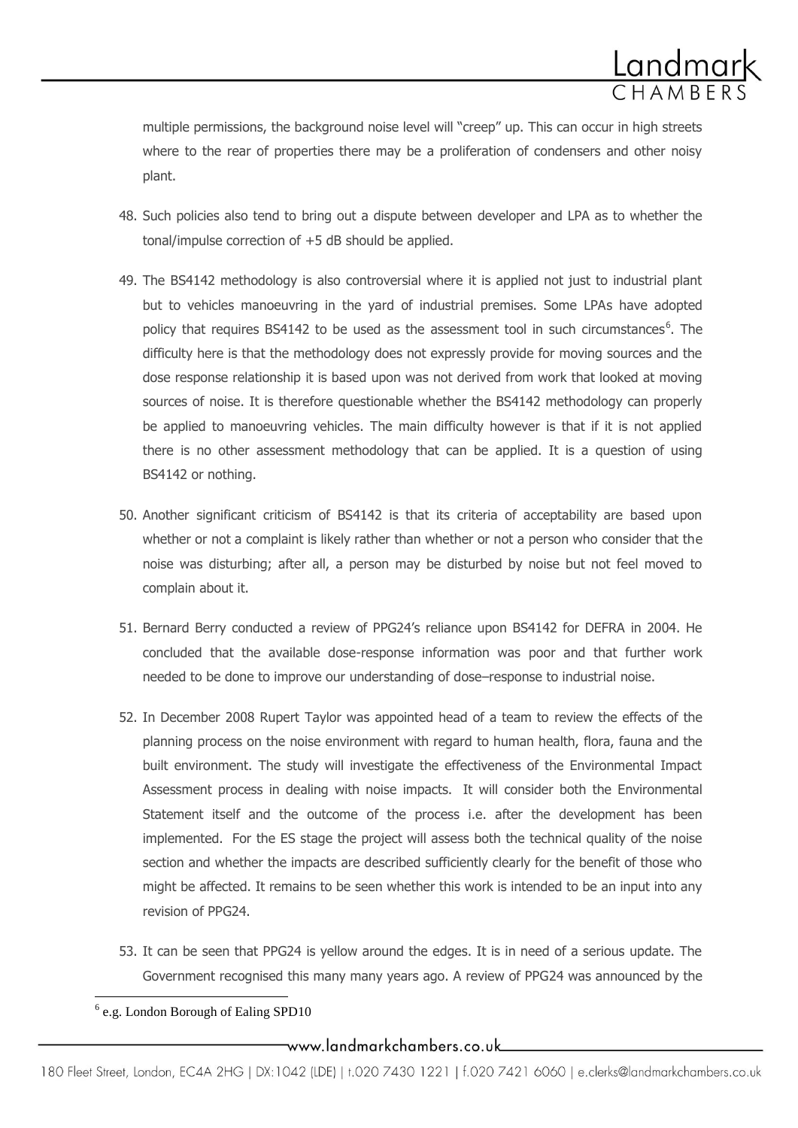

multiple permissions, the background noise level will "creep" up. This can occur in high streets where to the rear of properties there may be a proliferation of condensers and other noisy plant.

- 48. Such policies also tend to bring out a dispute between developer and LPA as to whether the tonal/impulse correction of +5 dB should be applied.
- 49. The BS4142 methodology is also controversial where it is applied not just to industrial plant but to vehicles manoeuvring in the yard of industrial premises. Some LPAs have adopted policy that requires BS4142 to be used as the assessment tool in such circumstances<sup>6</sup>. The difficulty here is that the methodology does not expressly provide for moving sources and the dose response relationship it is based upon was not derived from work that looked at moving sources of noise. It is therefore questionable whether the BS4142 methodology can properly be applied to manoeuvring vehicles. The main difficulty however is that if it is not applied there is no other assessment methodology that can be applied. It is a question of using BS4142 or nothing.
- 50. Another significant criticism of BS4142 is that its criteria of acceptability are based upon whether or not a complaint is likely rather than whether or not a person who consider that the noise was disturbing; after all, a person may be disturbed by noise but not feel moved to complain about it.
- 51. Bernard Berry conducted a review of PPG24's reliance upon BS4142 for DEFRA in 2004. He concluded that the available dose-response information was poor and that further work needed to be done to improve our understanding of dose–response to industrial noise.
- 52. In December 2008 Rupert Taylor was appointed head of a team to review the effects of the planning process on the noise environment with regard to human health, flora, fauna and the built environment. The study will investigate the effectiveness of the Environmental Impact Assessment process in dealing with noise impacts. It will consider both the Environmental Statement itself and the outcome of the process i.e. after the development has been implemented. For the ES stage the project will assess both the technical quality of the noise section and whether the impacts are described sufficiently clearly for the benefit of those who might be affected. It remains to be seen whether this work is intended to be an input into any revision of PPG24.
- 53. It can be seen that PPG24 is yellow around the edges. It is in need of a serious update. The Government recognised this many many years ago. A review of PPG24 was announced by the

 $\overline{a}$ <sup>6</sup> e.g. London Borough of Ealing SPD10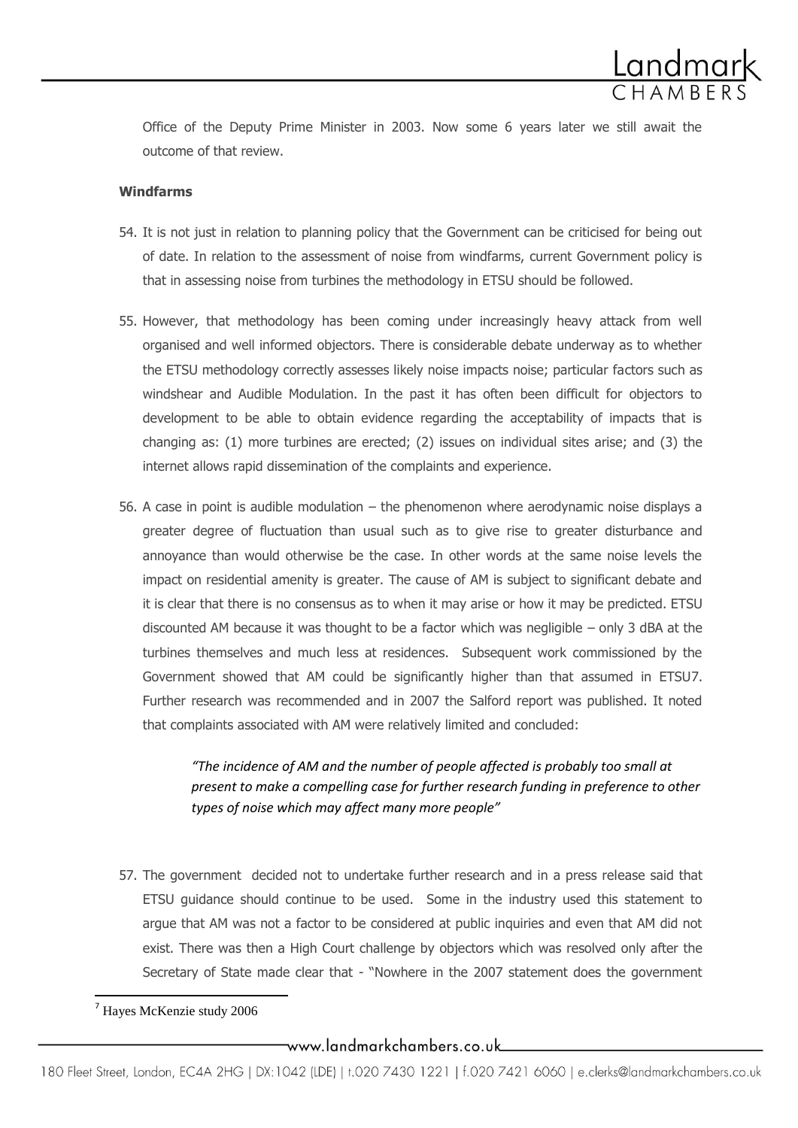

Office of the Deputy Prime Minister in 2003. Now some 6 years later we still await the outcome of that review.

## **Windfarms**

- 54. It is not just in relation to planning policy that the Government can be criticised for being out of date. In relation to the assessment of noise from windfarms, current Government policy is that in assessing noise from turbines the methodology in ETSU should be followed.
- 55. However, that methodology has been coming under increasingly heavy attack from well organised and well informed objectors. There is considerable debate underway as to whether the ETSU methodology correctly assesses likely noise impacts noise; particular factors such as windshear and Audible Modulation. In the past it has often been difficult for objectors to development to be able to obtain evidence regarding the acceptability of impacts that is changing as: (1) more turbines are erected; (2) issues on individual sites arise; and (3) the internet allows rapid dissemination of the complaints and experience.
- 56. A case in point is audible modulation the phenomenon where aerodynamic noise displays a greater degree of fluctuation than usual such as to give rise to greater disturbance and annoyance than would otherwise be the case. In other words at the same noise levels the impact on residential amenity is greater. The cause of AM is subject to significant debate and it is clear that there is no consensus as to when it may arise or how it may be predicted. ETSU discounted AM because it was thought to be a factor which was negligible – only 3 dBA at the turbines themselves and much less at residences. Subsequent work commissioned by the Government showed that AM could be significantly higher than that assumed in ETSU7. Further research was recommended and in 2007 the Salford report was published. It noted that complaints associated with AM were relatively limited and concluded:

*"The incidence of AM and the number of people affected is probably too small at present to make a compelling case for further research funding in preference to other types of noise which may affect many more people"*

57. The government decided not to undertake further research and in a press release said that ETSU guidance should continue to be used. Some in the industry used this statement to argue that AM was not a factor to be considered at public inquiries and even that AM did not exist. There was then a High Court challenge by objectors which was resolved only after the Secretary of State made clear that - "Nowhere in the 2007 statement does the government

 $\overline{a}$ 

<sup>7</sup> Hayes McKenzie study 2006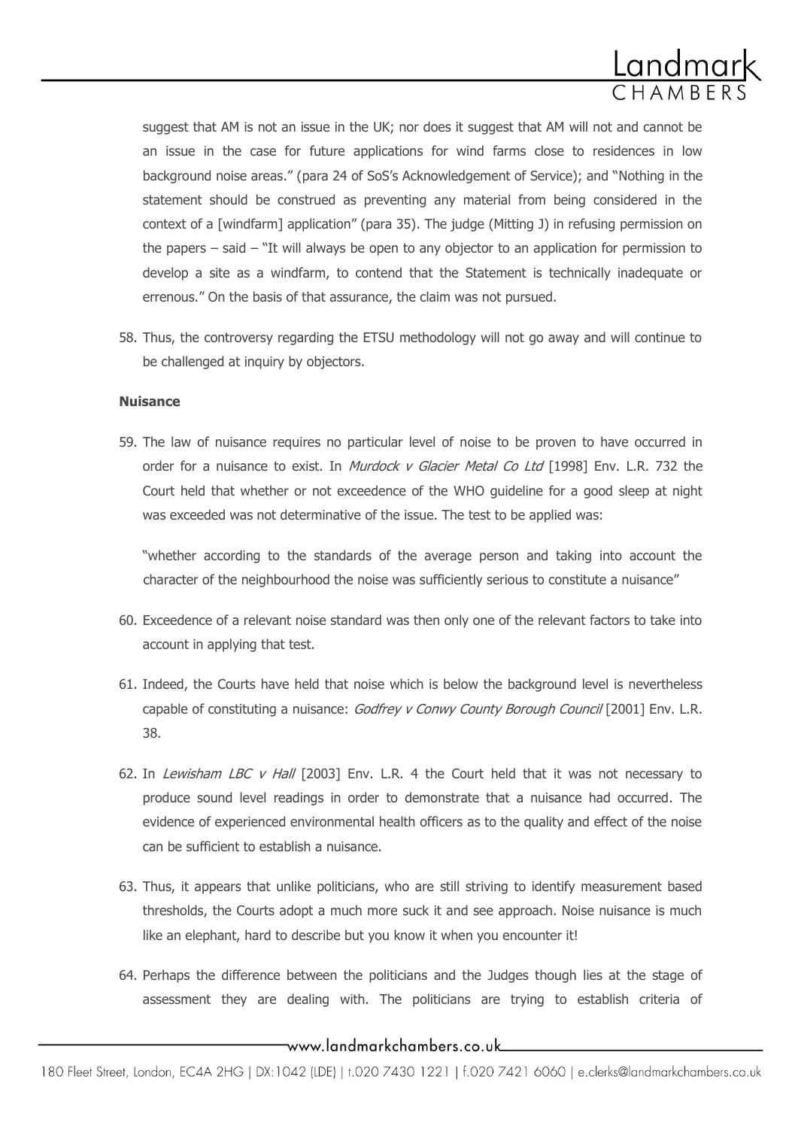

suggest that AM is not an issue in the UK; nor does it suggest that AM will not and cannot be an issue in the case for future applications for wind farms close to residences in low background noise areas." (para 24 of SoS's Acknowledgement of Service); and "Nothing in the statement should be construed as preventing any material from being considered in the context of a [windfarm] application" (para 35). The judge (Mitting J) in refusing permission on the papers – said – "It will always be open to any objector to an application for permission to develop a site as a windfarm, to contend that the Statement is technically inadequate or errenous." On the basis of that assurance, the claim was not pursued.

58. Thus, the controversy regarding the ETSU methodology will not go away and will continue to be challenged at inquiry by objectors.

#### **Nuisance**

59. The law of nuisance requires no particular level of noise to be proven to have occurred in order for a nuisance to exist. In *Murdock v Glacier Metal Co Ltd* [1998] Env. L.R. 732 the Court held that whether or not exceedence of the WHO guideline for a good sleep at night was exceeded was not determinative of the issue. The test to be applied was:

"whether according to the standards of the average person and taking into account the character of the neighbourhood the noise was sufficiently serious to constitute a nuisance"

- 60. Exceedence of a relevant noise standard was then only one of the relevant factors to take into account in applying that test.
- 61. Indeed, the Courts have held that noise which is below the background level is nevertheless capable of constituting a nuisance: Godfrey v Conwy County Borough Council [2001] Env. L.R. 38.
- 62. In Lewisham LBC v Hall  $[2003]$  Env. L.R. 4 the Court held that it was not necessary to produce sound level readings in order to demonstrate that a nuisance had occurred. The evidence of experienced environmental health officers as to the quality and effect of the noise can be sufficient to establish a nuisance.
- 63. Thus, it appears that unlike politicians, who are still striving to identify measurement based thresholds, the Courts adopt a much more suck it and see approach. Noise nuisance is much like an elephant, hard to describe but you know it when you encounter it!
- 64. Perhaps the difference between the politicians and the Judges though lies at the stage of assessment they are dealing with. The politicians are trying to establish criteria of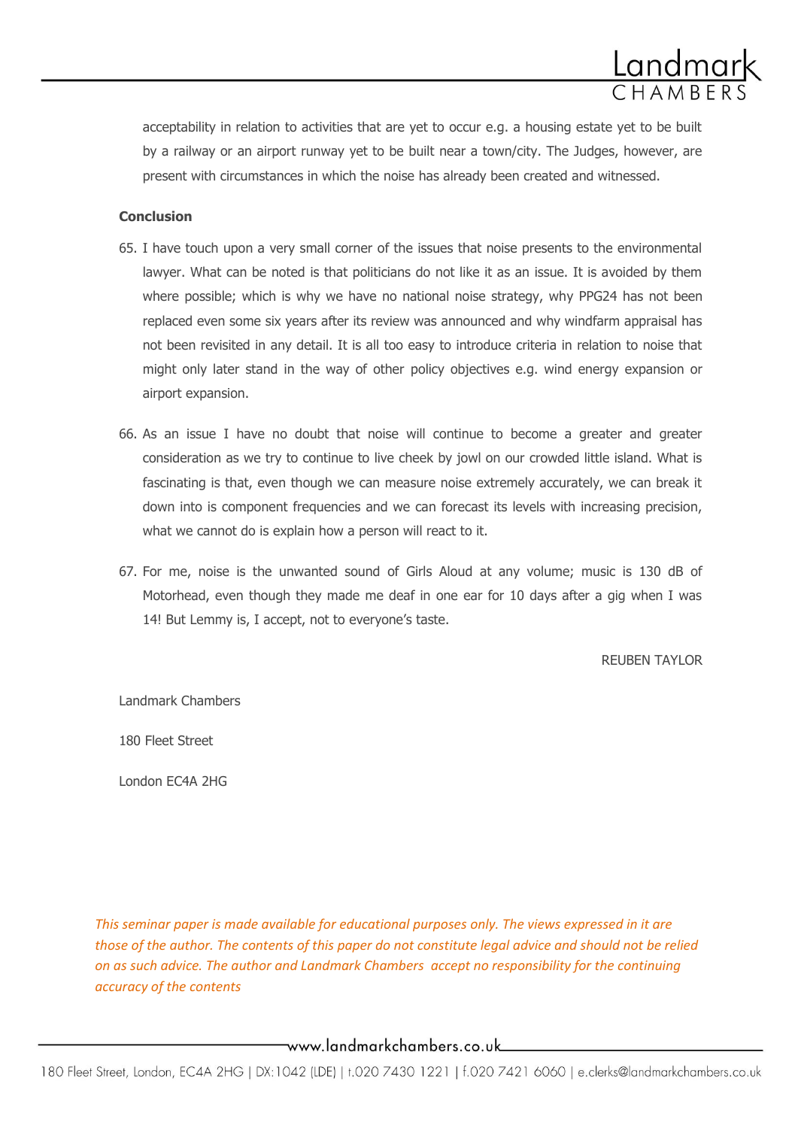acceptability in relation to activities that are yet to occur e.g. a housing estate yet to be built by a railway or an airport runway yet to be built near a town/city. The Judges, however, are present with circumstances in which the noise has already been created and witnessed.

#### **Conclusion**

- 65. I have touch upon a very small corner of the issues that noise presents to the environmental lawyer. What can be noted is that politicians do not like it as an issue. It is avoided by them where possible; which is why we have no national noise strategy, why PPG24 has not been replaced even some six years after its review was announced and why windfarm appraisal has not been revisited in any detail. It is all too easy to introduce criteria in relation to noise that might only later stand in the way of other policy objectives e.g. wind energy expansion or airport expansion.
- 66. As an issue I have no doubt that noise will continue to become a greater and greater consideration as we try to continue to live cheek by jowl on our crowded little island. What is fascinating is that, even though we can measure noise extremely accurately, we can break it down into is component frequencies and we can forecast its levels with increasing precision, what we cannot do is explain how a person will react to it.
- 67. For me, noise is the unwanted sound of Girls Aloud at any volume; music is 130 dB of Motorhead, even though they made me deaf in one ear for 10 days after a gig when I was 14! But Lemmy is, I accept, not to everyone's taste.

REUBEN TAYLOR

Landmark Chambers

180 Fleet Street

London EC4A 2HG

*This seminar paper is made available for educational purposes only. The views expressed in it are those of the author. The contents of this paper do not constitute legal advice and should not be relied on as such advice. The author and Landmark Chambers accept no responsibility for the continuing accuracy of the contents*